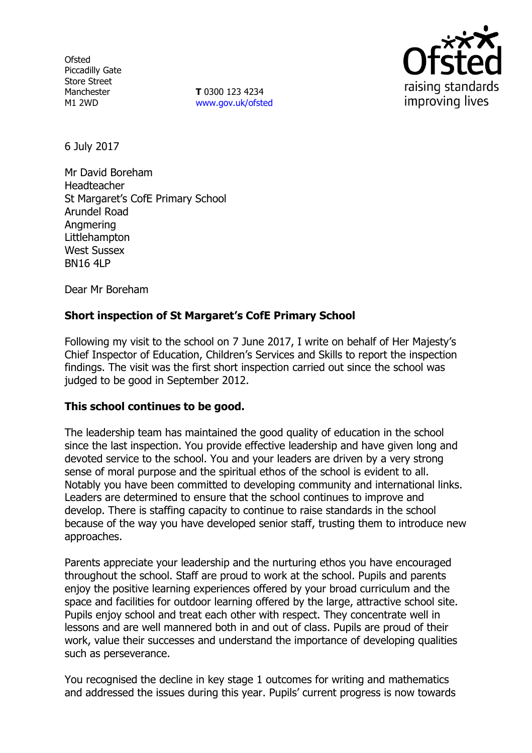**Ofsted** Piccadilly Gate Store Street Manchester M1 2WD

**T** 0300 123 4234 www.gov.uk/ofsted



6 July 2017

Mr David Boreham Headteacher St Margaret's CofE Primary School Arundel Road Angmering Littlehampton West Sussex BN16 4LP

Dear Mr Boreham

# **Short inspection of St Margaret's CofE Primary School**

Following my visit to the school on 7 June 2017, I write on behalf of Her Majesty's Chief Inspector of Education, Children's Services and Skills to report the inspection findings. The visit was the first short inspection carried out since the school was judged to be good in September 2012.

### **This school continues to be good.**

The leadership team has maintained the good quality of education in the school since the last inspection. You provide effective leadership and have given long and devoted service to the school. You and your leaders are driven by a very strong sense of moral purpose and the spiritual ethos of the school is evident to all. Notably you have been committed to developing community and international links. Leaders are determined to ensure that the school continues to improve and develop. There is staffing capacity to continue to raise standards in the school because of the way you have developed senior staff, trusting them to introduce new approaches.

Parents appreciate your leadership and the nurturing ethos you have encouraged throughout the school. Staff are proud to work at the school. Pupils and parents enjoy the positive learning experiences offered by your broad curriculum and the space and facilities for outdoor learning offered by the large, attractive school site. Pupils enjoy school and treat each other with respect. They concentrate well in lessons and are well mannered both in and out of class. Pupils are proud of their work, value their successes and understand the importance of developing qualities such as perseverance.

You recognised the decline in key stage 1 outcomes for writing and mathematics and addressed the issues during this year. Pupils' current progress is now towards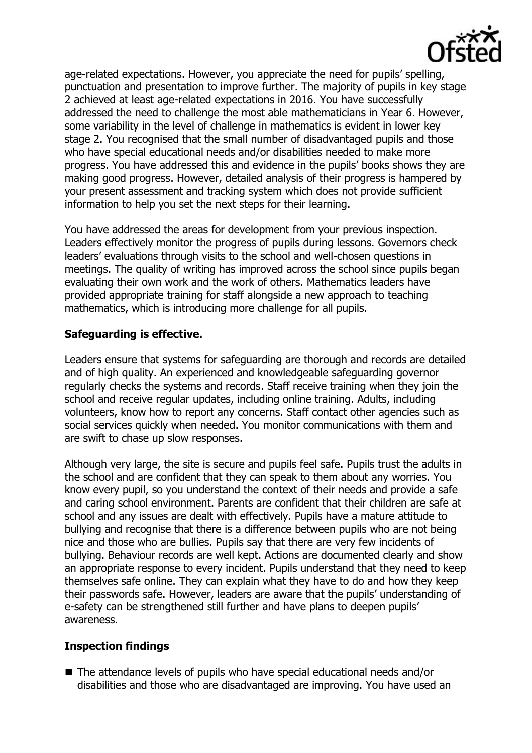

age-related expectations. However, you appreciate the need for pupils' spelling, punctuation and presentation to improve further. The majority of pupils in key stage 2 achieved at least age-related expectations in 2016. You have successfully addressed the need to challenge the most able mathematicians in Year 6. However, some variability in the level of challenge in mathematics is evident in lower key stage 2. You recognised that the small number of disadvantaged pupils and those who have special educational needs and/or disabilities needed to make more progress. You have addressed this and evidence in the pupils' books shows they are making good progress. However, detailed analysis of their progress is hampered by your present assessment and tracking system which does not provide sufficient information to help you set the next steps for their learning.

You have addressed the areas for development from your previous inspection. Leaders effectively monitor the progress of pupils during lessons. Governors check leaders' evaluations through visits to the school and well-chosen questions in meetings. The quality of writing has improved across the school since pupils began evaluating their own work and the work of others. Mathematics leaders have provided appropriate training for staff alongside a new approach to teaching mathematics, which is introducing more challenge for all pupils.

## **Safeguarding is effective.**

Leaders ensure that systems for safeguarding are thorough and records are detailed and of high quality. An experienced and knowledgeable safeguarding governor regularly checks the systems and records. Staff receive training when they join the school and receive regular updates, including online training. Adults, including volunteers, know how to report any concerns. Staff contact other agencies such as social services quickly when needed. You monitor communications with them and are swift to chase up slow responses.

Although very large, the site is secure and pupils feel safe. Pupils trust the adults in the school and are confident that they can speak to them about any worries. You know every pupil, so you understand the context of their needs and provide a safe and caring school environment. Parents are confident that their children are safe at school and any issues are dealt with effectively. Pupils have a mature attitude to bullying and recognise that there is a difference between pupils who are not being nice and those who are bullies. Pupils say that there are very few incidents of bullying. Behaviour records are well kept. Actions are documented clearly and show an appropriate response to every incident. Pupils understand that they need to keep themselves safe online. They can explain what they have to do and how they keep their passwords safe. However, leaders are aware that the pupils' understanding of e-safety can be strengthened still further and have plans to deepen pupils' awareness.

### **Inspection findings**

■ The attendance levels of pupils who have special educational needs and/or disabilities and those who are disadvantaged are improving. You have used an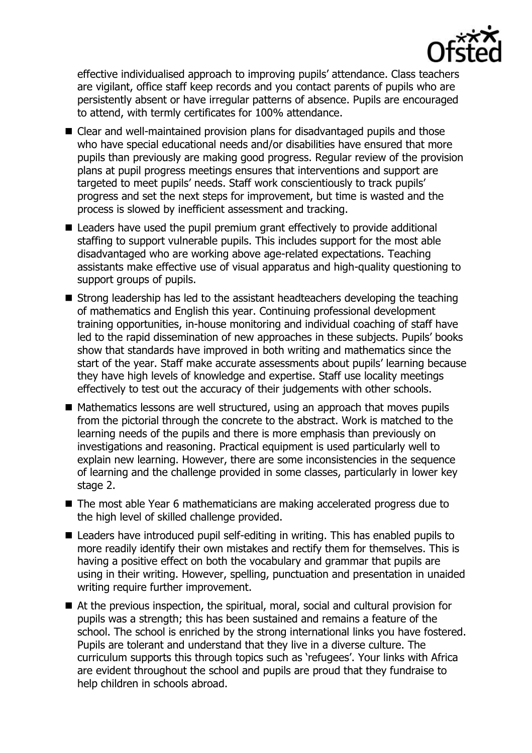

effective individualised approach to improving pupils' attendance. Class teachers are vigilant, office staff keep records and you contact parents of pupils who are persistently absent or have irregular patterns of absence. Pupils are encouraged to attend, with termly certificates for 100% attendance.

- Clear and well-maintained provision plans for disadvantaged pupils and those who have special educational needs and/or disabilities have ensured that more pupils than previously are making good progress. Regular review of the provision plans at pupil progress meetings ensures that interventions and support are targeted to meet pupils' needs. Staff work conscientiously to track pupils' progress and set the next steps for improvement, but time is wasted and the process is slowed by inefficient assessment and tracking.
- Leaders have used the pupil premium grant effectively to provide additional staffing to support vulnerable pupils. This includes support for the most able disadvantaged who are working above age-related expectations. Teaching assistants make effective use of visual apparatus and high-quality questioning to support groups of pupils.
- Strong leadership has led to the assistant headteachers developing the teaching of mathematics and English this year. Continuing professional development training opportunities, in-house monitoring and individual coaching of staff have led to the rapid dissemination of new approaches in these subjects. Pupils' books show that standards have improved in both writing and mathematics since the start of the year. Staff make accurate assessments about pupils' learning because they have high levels of knowledge and expertise. Staff use locality meetings effectively to test out the accuracy of their judgements with other schools.
- Mathematics lessons are well structured, using an approach that moves pupils from the pictorial through the concrete to the abstract. Work is matched to the learning needs of the pupils and there is more emphasis than previously on investigations and reasoning. Practical equipment is used particularly well to explain new learning. However, there are some inconsistencies in the sequence of learning and the challenge provided in some classes, particularly in lower key stage 2.
- The most able Year 6 mathematicians are making accelerated progress due to the high level of skilled challenge provided.
- Leaders have introduced pupil self-editing in writing. This has enabled pupils to more readily identify their own mistakes and rectify them for themselves. This is having a positive effect on both the vocabulary and grammar that pupils are using in their writing. However, spelling, punctuation and presentation in unaided writing require further improvement.
- At the previous inspection, the spiritual, moral, social and cultural provision for pupils was a strength; this has been sustained and remains a feature of the school. The school is enriched by the strong international links you have fostered. Pupils are tolerant and understand that they live in a diverse culture. The curriculum supports this through topics such as 'refugees'. Your links with Africa are evident throughout the school and pupils are proud that they fundraise to help children in schools abroad.